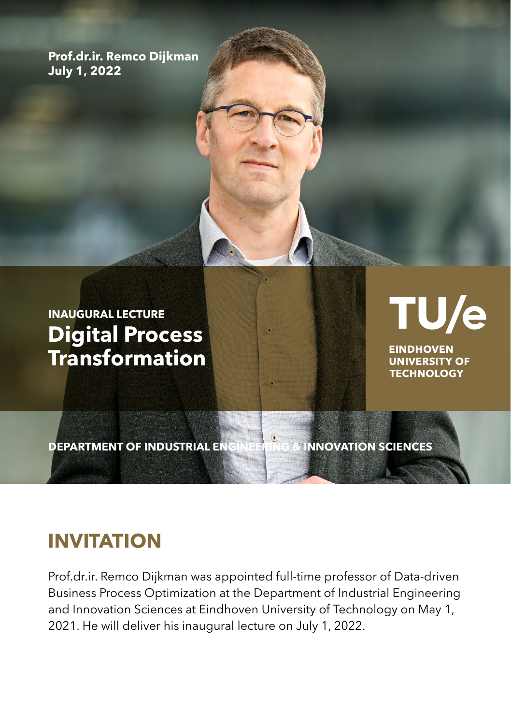**Prof.dr.ir. Remco Dijkman July 1, 2022**

**INAUGURAL LECTURE Digital Process Transformation** TU/e

**EINDHOVEN UNIVERSITY OF TECHNOLOGY** 

**DEPARTMENT OF INDUSTRIAL ENGINEERING & INNOVATION SCIENCES**

## **INVITATION**

Prof.dr.ir. Remco Dijkman was appointed full-time professor of Data-driven Business Process Optimization at the Department of Industrial Engineering and Innovation Sciences at Eindhoven University of Technology on May 1, 2021. He will deliver his inaugural lecture on July 1, 2022.